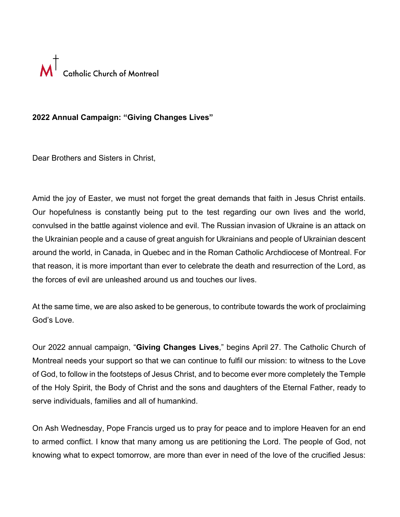

## **2022 Annual Campaign: "Giving Changes Lives"**

Dear Brothers and Sisters in Christ,

Amid the joy of Easter, we must not forget the great demands that faith in Jesus Christ entails. Our hopefulness is constantly being put to the test regarding our own lives and the world, convulsed in the battle against violence and evil. The Russian invasion of Ukraine is an attack on the Ukrainian people and a cause of great anguish for Ukrainians and people of Ukrainian descent around the world, in Canada, in Quebec and in the Roman Catholic Archdiocese of Montreal. For that reason, it is more important than ever to celebrate the death and resurrection of the Lord, as the forces of evil are unleashed around us and touches our lives.

At the same time, we are also asked to be generous, to contribute towards the work of proclaiming God's Love.

Our 2022 annual campaign, "**Giving Changes Lives**," begins April 27. The Catholic Church of Montreal needs your support so that we can continue to fulfil our mission: to witness to the Love of God, to follow in the footsteps of Jesus Christ, and to become ever more completely the Temple of the Holy Spirit, the Body of Christ and the sons and daughters of the Eternal Father, ready to serve individuals, families and all of humankind.

On Ash Wednesday, Pope Francis urged us to pray for peace and to implore Heaven for an end to armed conflict. I know that many among us are petitioning the Lord. The people of God, not knowing what to expect tomorrow, are more than ever in need of the love of the crucified Jesus: